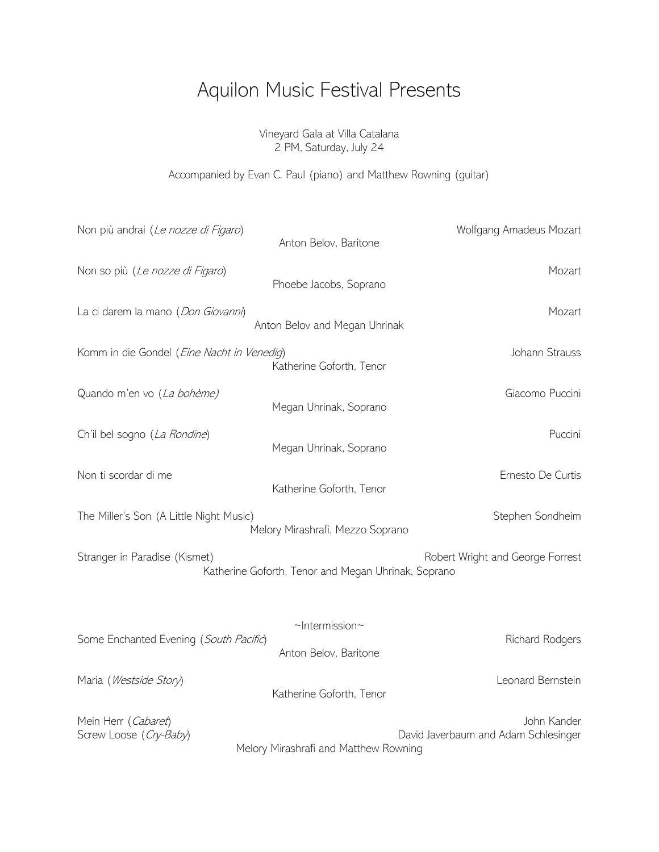## Aquilon Music Festival Presents

Vineyard Gala at Villa Catalana 2 PM, Saturday, July 24

Accompanied by Evan C. Paul (piano) and Matthew Rowning (guitar)

| Non più andrai (Le nozze di Figaro)           | Anton Belov, Baritone                               | Wolfgang Amadeus Mozart                             |
|-----------------------------------------------|-----------------------------------------------------|-----------------------------------------------------|
| Non so più (Le nozze di Figaro)               | Phoebe Jacobs, Soprano                              | Mozart                                              |
| La ci darem la mano (Don Giovanni)            | Anton Belov and Megan Uhrinak                       | Mozart                                              |
| Komm in die Gondel (Eine Nacht in Venedig)    | Katherine Goforth, Tenor                            | Johann Strauss                                      |
| Quando m'en vo (La bohème)                    | Megan Uhrinak, Soprano                              | Giacomo Puccini                                     |
| Ch'il bel sogno (La Rondine)                  | Megan Uhrinak, Soprano                              | Puccini                                             |
| Non ti scordar di me                          | Katherine Goforth, Tenor                            | Ernesto De Curtis                                   |
| The Miller's Son (A Little Night Music)       | Melory Mirashrafi, Mezzo Soprano                    | Stephen Sondheim                                    |
| Stranger in Paradise (Kismet)                 | Katherine Goforth, Tenor and Megan Uhrinak, Soprano | Robert Wright and George Forrest                    |
| Some Enchanted Evening (South Pacific)        | $\nu$ Intermission $\nu$<br>Anton Belov, Baritone   | Richard Rodgers                                     |
| Maria (Westside Story)                        | Katherine Goforth, Tenor                            | Leonard Bernstein                                   |
| Mein Herr (Cabaret)<br>Screw Loose (Cry-Baby) | Melory Mirashrafi and Matthew Rowning               | John Kander<br>David Javerbaum and Adam Schlesinger |